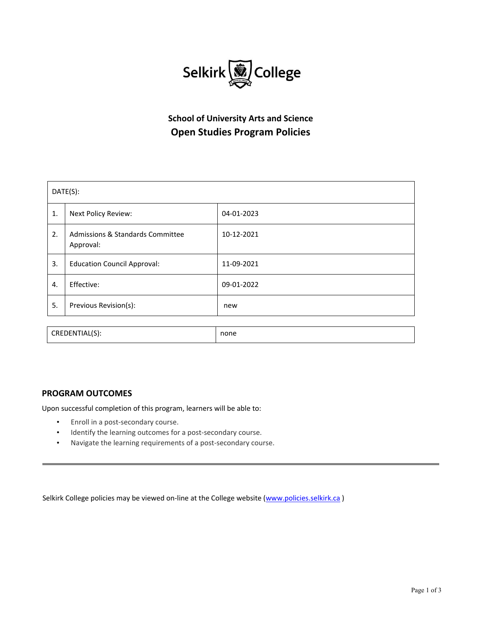

# **School of University Arts and Science Open Studies Program Policies**

| DATE(S):       |                                                          |            |
|----------------|----------------------------------------------------------|------------|
| 1.             | Next Policy Review:                                      | 04-01-2023 |
| 2.             | <b>Admissions &amp; Standards Committee</b><br>Approval: | 10-12-2021 |
| 3.             | <b>Education Council Approval:</b>                       | 11-09-2021 |
| 4.             | Effective:                                               | 09-01-2022 |
| 5.             | Previous Revision(s):                                    | new        |
|                |                                                          |            |
| CREDENTIAL(S): |                                                          | none       |

## **PROGRAM OUTCOMES**

Upon successful completion of this program, learners will be able to:

- Enroll in a post-secondary course.
- Identify the learning outcomes for a post-secondary course.
- Navigate the learning requirements of a post‐secondary course.

Selkirk College policies may be viewed on-line at the College website (www.policies.selkirk.ca)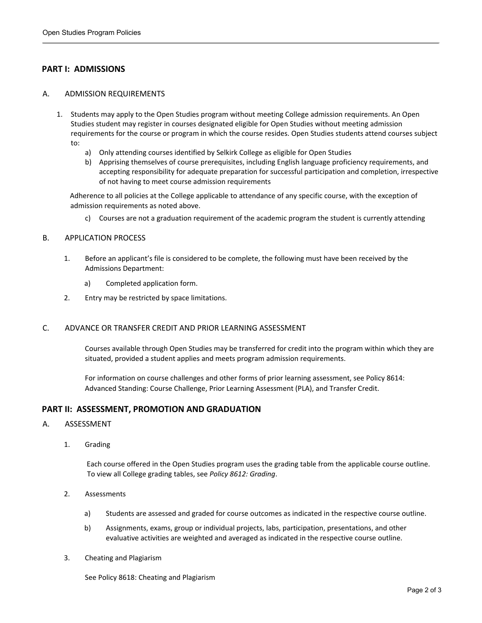# **PART I: ADMISSIONS**

#### A. ADMISSION REQUIREMENTS

- 1. Students may apply to the Open Studies program without meeting College admission requirements. An Open Studies student may register in courses designated eligible for Open Studies without meeting admission requirements for the course or program in which the course resides. Open Studies students attend courses subject to:
	- a) Only attending courses identified by Selkirk College as eligible for Open Studies
	- b) Apprising themselves of course prerequisites, including English language proficiency requirements, and accepting responsibility for adequate preparation for successful participation and completion, irrespective of not having to meet course admission requirements

Adherence to all policies at the College applicable to attendance of any specific course, with the exception of admission requirements as noted above.

c) Courses are not a graduation requirement of the academic program the student is currently attending

#### B. APPLICATION PROCESS

- 1. Before an applicant's file is considered to be complete, the following must have been received by the Admissions Department:
	- a) Completed application form.
- 2. Entry may be restricted by space limitations.

## C. ADVANCE OR TRANSFER CREDIT AND PRIOR LEARNING ASSESSMENT

Courses available through Open Studies may be transferred for credit into the program within which they are situated, provided a student applies and meets program admission requirements.

For information on course challenges and other forms of prior learning assessment, see Policy 8614: Advanced Standing: Course Challenge, Prior Learning Assessment (PLA), and Transfer Credit.

## **PART II: ASSESSMENT, PROMOTION AND GRADUATION**

#### A. ASSESSMENT

1. Grading

Each course offered in the Open Studies program uses the grading table from the applicable course outline. To view all College grading tables, see *Policy 8612: Grading*.

- 2. Assessments
	- a) Students are assessed and graded for course outcomes as indicated in the respective course outline.
	- b) Assignments, exams, group or individual projects, labs, participation, presentations, and other evaluative activities are weighted and averaged as indicated in the respective course outline.
- 3. Cheating and Plagiarism

See Policy 8618: Cheating and Plagiarism